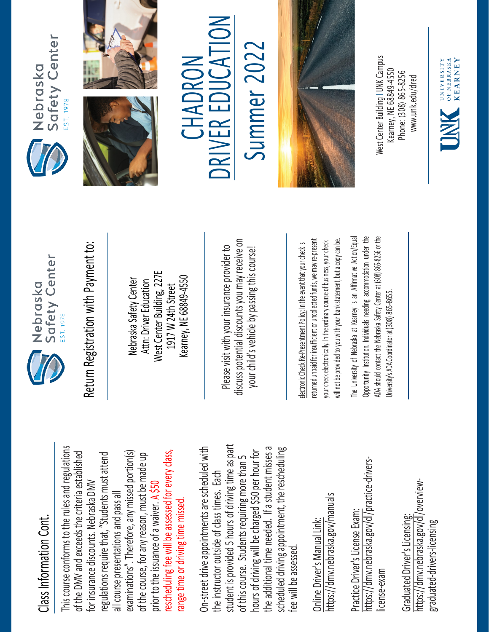## Class Information Cont. Class Information Cont.

This course conforms to the rules and regulations This course conforms to the rules and regulations rescheduling fee will be assessed for every class, examinations". Therefore, any missed portion(s) of the DMV and exceeds the criteria established regulations require that, "Students must attend rescheduling fee will be assessed for every class, of the DMV and exceeds the criteria established examinations". Therefore, any missed portion(s) of the course, for any reason, must be made up regulations require that, "Students must attend of the course, for any reason, must be made up for insurance discounts. Nebraska DMV for insurance discounts. Nebraska DMV prior to the issuance of a waiver. A \$50 all course presentations and pass all all course presentations and pass all range time or driving time missed. range time or driving time missed prior to the issuance of a waiver.

student is provided 5 hours of driving time as part On-street drive appointments are scheduled with student is provided 5 hours of driving time as part the additional time needed. If a student misses a scheduled driving appointment, the rescheduling the additional time needed. If a student misses a On-street drive appointments are scheduled with hours of driving will be charged \$50 per hour for scheduled driving appointment, the rescheduling hours of driving will be charged \$50 per hour for of this course. Students requiring more than 5 of this course. Students requiring more than 5 the instructor outside of class times. Each the instructor outside of class times. Each fee will be assessed. fee will be assessed

https://dmv.nebraska.gov/manuals https://dmv.nebraska.gov/manuals Online Driver's Manual Link: Online Driver's Manual Link:

https://dmv.nebraska.gov/dl/practice-drivershttps://dmv.nebraska.gov/dl/practice-drivers-Practice Driver's License Exam: Practice Driver's License Exam: license-exam icense-exam

https://dmv.nebraska.gov/dl/overviewhttps://dmv.nebraska.gov/dl/overview-Graduated Driver's Licensing: Graduated Driver's Licensing: graduated-drivers-licensing graduated-drivers-licensing



Nebraska Safety Center Attn: Driver Education West Center Building, 227E 1917 W 24th Street Kearney, NE 68849-4550

Please visit with your insurance provider to discuss potential discounts you may receive on potential discounts you may receive on your child's vehicle by passing this course! Return Registration with Payment to:<br>
Nebraska Safety Center<br>
Attn: Driver Education<br>
1917 W 24th Street<br>
Rearney, NE 68849-4550<br>
Rease visit with your insurance provider to<br>
Please visit with your insurance provider to<br>
y

returned unpaid for insufficient or uncollected funds, we may re-present a copy can be. returned unpaid for insufficient or uncollected funds, we may re-present will not be provided to you with your bank statement, but a copy can be. your check electronically. In the ordinary course of business, your check your check electronically. In the ordinary course of business, your check will not be provided to you with your bank statement, but

The University of Nebraska at Kearney is an Affirmative Action/Equal The University of Nebraska at Kearney is an Affirmative Action/Equal Opportunity Institution. Individuals needing accommodation under the ADA should contact the Nebraska Safety Center at (308) 865-8256 or the Opportunity Institution. Individuals needing accommodation under the ADA should contact the Nebraska Safety Center at (308) 865-8256 or the Jniversity's ADA Coordinator at (308) 865-8655. University's ADA Coordinator at (308) 86







 $\sum_{i=1}^{n}$ Summer 2022 **CHADRUN** R EDUCA CHADRON E RIV **NC** 

Summer 202



West Center Building I UNK Campus Building I UNK Campus Kearney, NE 68849-4550 Kearney, NE 68849-4550 Phone: (308) 865-8256 Phone: (308) 865-8256 [www.unk.edu/dred](http://www.unk.edu/dred)  www.unk.edu/dred West Lenter

**EXPRESSITY KEARNEY**